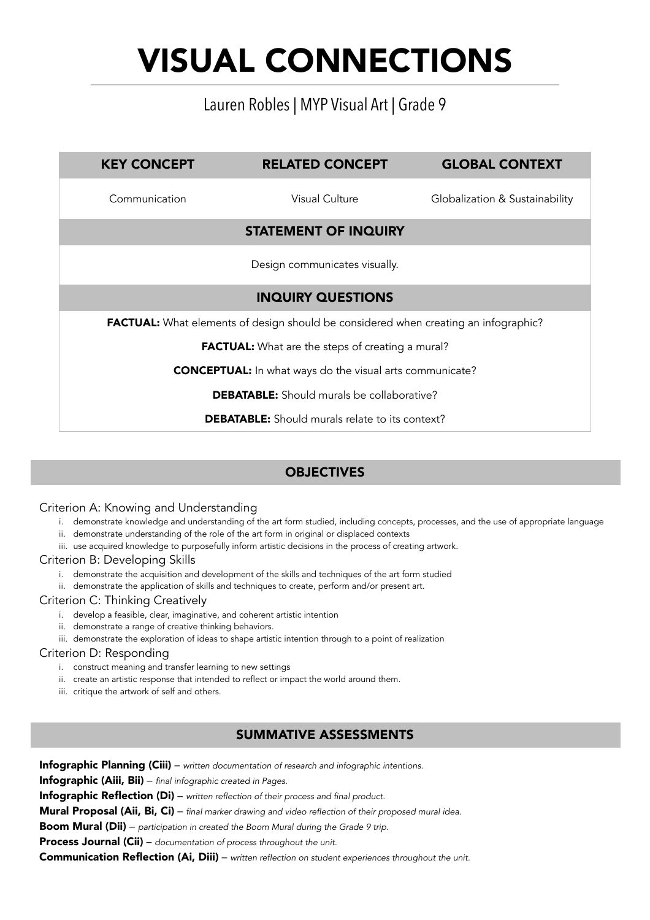# VISUAL CONNECTIONS

## Lauren Robles | MYP Visual Art | Grade 9

| <b>KEY CONCEPT</b>                                                                         | <b>RELATED CONCEPT</b>        | <b>GLOBAL CONTEXT</b>          |  |  |  |  |  |
|--------------------------------------------------------------------------------------------|-------------------------------|--------------------------------|--|--|--|--|--|
| Communication                                                                              | <b>Visual Culture</b>         | Globalization & Sustainability |  |  |  |  |  |
|                                                                                            | <b>STATEMENT OF INQUIRY</b>   |                                |  |  |  |  |  |
|                                                                                            | Design communicates visually. |                                |  |  |  |  |  |
|                                                                                            | <b>INQUIRY QUESTIONS</b>      |                                |  |  |  |  |  |
| <b>FACTUAL:</b> What elements of design should be considered when creating an infographic? |                               |                                |  |  |  |  |  |
| <b>FACTUAL:</b> What are the steps of creating a mural?                                    |                               |                                |  |  |  |  |  |
| <b>CONCEPTUAL:</b> In what ways do the visual arts communicate?                            |                               |                                |  |  |  |  |  |
| <b>DEBATABLE:</b> Should murals be collaborative?                                          |                               |                                |  |  |  |  |  |
| <b>DEBATABLE:</b> Should murals relate to its context?                                     |                               |                                |  |  |  |  |  |
|                                                                                            |                               |                                |  |  |  |  |  |
| <b>OBJECTIVES</b>                                                                          |                               |                                |  |  |  |  |  |

### Criterion A: Knowing and Understanding

- i. demonstrate knowledge and understanding of the art form studied, including concepts, processes, and the use of appropriate language
- ii. demonstrate understanding of the role of the art form in original or displaced contexts
- iii. use acquired knowledge to purposefully inform artistic decisions in the process of creating artwork.

### Criterion B: Developing Skills

- i. demonstrate the acquisition and development of the skills and techniques of the art form studied
- ii. demonstrate the application of skills and techniques to create, perform and/or present art.

### Criterion C: Thinking Creatively

- i. develop a feasible, clear, imaginative, and coherent artistic intention
- ii. demonstrate a range of creative thinking behaviors.
- iii. demonstrate the exploration of ideas to shape artistic intention through to a point of realization

### Criterion D: Responding

- i. construct meaning and transfer learning to new settings
- ii. create an artistic response that intended to reflect or impact the world around them.
- iii. critique the artwork of self and others.

### SUMMATIVE ASSESSMENTS

Infographic Planning (Ciii) – *written documentation of research and infographic intentions.* Infographic (Aiii, Bii) – *final infographic created in Pages.* Infographic Reflection (Di) – *written reflection of their process and final product.* Mural Proposal (Aii, Bi, Ci) – *final marker drawing and video reflection of their proposed mural idea.* Boom Mural (Dii) – *participation in created the Boom Mural during the Grade 9 trip.* Process Journal (Cii) – *documentation of process throughout the unit.* Communication Reflection (Ai, Diii) – *written reflection on student experiences throughout the unit.*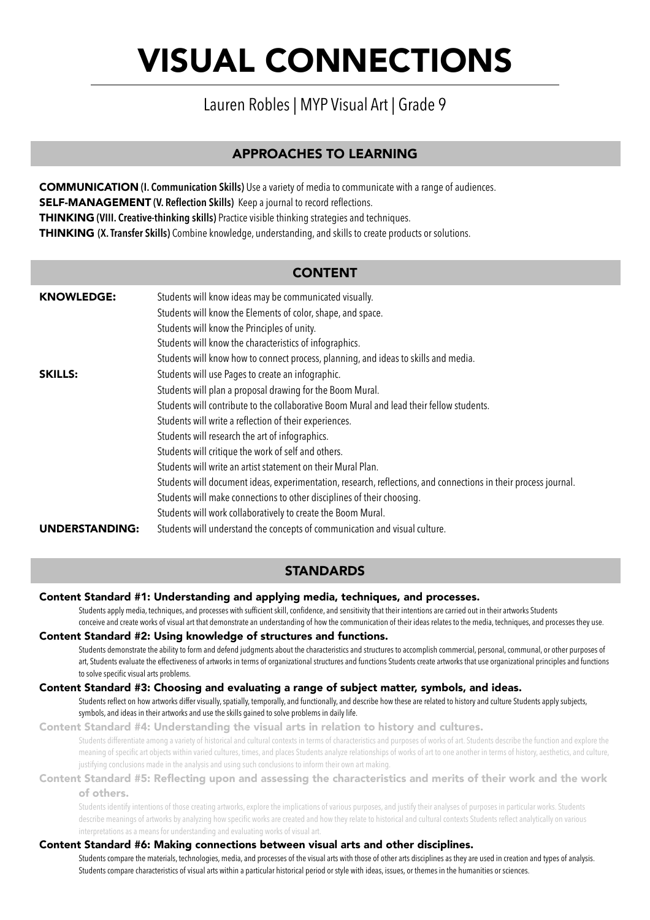# VISUAL CONNECTIONS

## Lauren Robles | MYP Visual Art | Grade 9

### APPROACHES TO LEARNING

COMMUNICATION **(I. Communication Skills)** Use a variety of media to communicate with a range of audiences. SELF-MANAGEMENT **(V. Reflection Skills)** Keep a journal to record reflections. THINKING **(VIII. Creative-thinking skills)** Practice visible thinking strategies and techniques. THINKING **(X. Transfer Skills)** Combine knowledge, understanding, and skills to create products or solutions.

### CONTENT

| <b>KNOWLEDGE:</b> | Students will know ideas may be communicated visually.                                                          |
|-------------------|-----------------------------------------------------------------------------------------------------------------|
|                   | Students will know the Elements of color, shape, and space.                                                     |
|                   | Students will know the Principles of unity.                                                                     |
|                   | Students will know the characteristics of infographics.                                                         |
|                   | Students will know how to connect process, planning, and ideas to skills and media.                             |
| <b>SKILLS:</b>    | Students will use Pages to create an infographic.                                                               |
|                   | Students will plan a proposal drawing for the Boom Mural.                                                       |
|                   | Students will contribute to the collaborative Boom Mural and lead their fellow students.                        |
|                   | Students will write a reflection of their experiences.                                                          |
|                   | Students will research the art of infographics.                                                                 |
|                   | Students will critique the work of self and others.                                                             |
|                   | Students will write an artist statement on their Mural Plan.                                                    |
|                   | Students will document ideas, experimentation, research, reflections, and connections in their process journal. |
|                   | Students will make connections to other disciplines of their choosing.                                          |
|                   | Students will work collaboratively to create the Boom Mural.                                                    |
| UNDERSTANDING:    | Students will understand the concepts of communication and visual culture.                                      |

### **STANDARDS**

Content Standard #1: Understanding and applying media, techniques, and processes.

 Students apply media, techniques, and processes with sufficient skill, confidence, and sensitivity that their intentions are carried out in their artworks Students conceive and create works of visual art that demonstrate an understanding of how the communication of their ideas relates to the media, techniques, and processes they use.

#### Content Standard #2: Using knowledge of structures and functions.

 Students demonstrate the ability to form and defend judgments about the characteristics and structures to accomplish commercial, personal, communal, or other purposes of art, Students evaluate the effectiveness of artworks in terms of organizational structures and functions Students create artworks that use organizational principles and functions to solve specific visual arts problems.

#### Content Standard #3: Choosing and evaluating a range of subject matter, symbols, and ideas.

Students reflect on how artworks differ visually, spatially, temporally, and functionally, and describe how these are related to history and culture Students apply subjects, symbols, and ideas in their artworks and use the skills gained to solve problems in daily life.

#### Content Standard #4: Understanding the visual arts in relation to history and cultures.

 Students differentiate among a variety of historical and cultural contexts in terms of characteristics and purposes of works of art. Students describe the function and explore the meaning of specific art objects within varied cultures, times, and places Students analyze relationships of works of art to one another in terms of history, aesthetics, and culture, justifying conclusions made in the analysis and using such conclusions to inform their own art making.

#### Content Standard #5: Reflecting upon and assessing the characteristics and merits of their work and the work of others.

 Students identify intentions of those creating artworks, explore the implications of various purposes, and justify their analyses of purposes in particular works. Students describe meanings of artworks by analyzing how specific works are created and how they relate to historical and cultural contexts Students reflect analytically on various interpretations as a means for understanding and evaluating works of visual art.

#### Content Standard #6: Making connections between visual arts and other disciplines.

 Students compare the materials, technologies, media, and processes of the visual arts with those of other arts disciplines as they are used in creation and types of analysis. Students compare characteristics of visual arts within a particular historical period or style with ideas, issues, or themes in the humanities or sciences.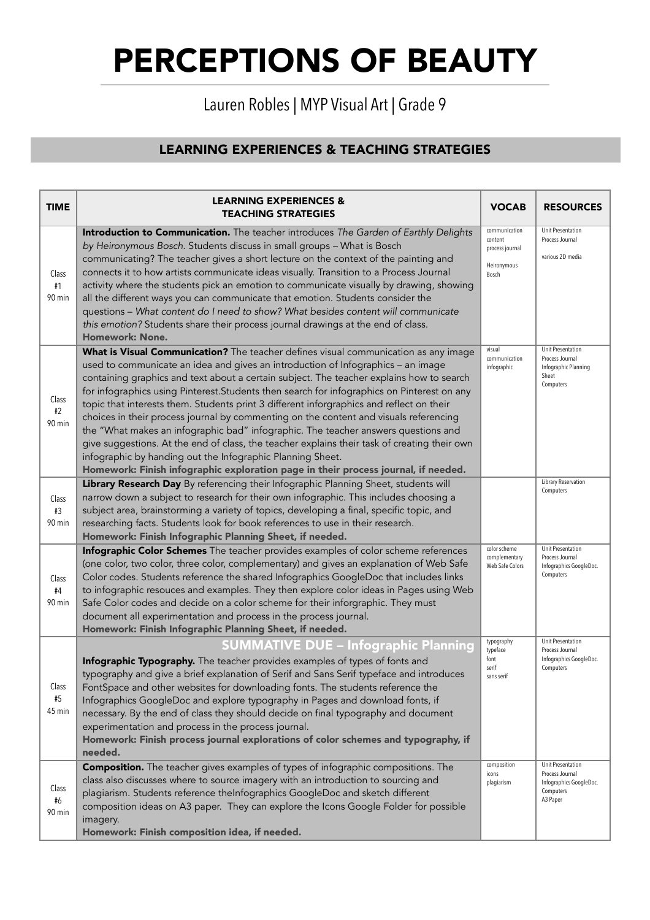## Lauren Robles | MYP Visual Art | Grade 9

## LEARNING EXPERIENCES & TEACHING STRATEGIES

| <b>TIME</b>              | <b>LEARNING EXPERIENCES &amp;</b><br><b>TEACHING STRATEGIES</b>                                                                                                                                                                                                                                                                                                                                                                                                                                                                                                                                                                                                                                                                                                                                                                                                                                   | <b>VOCAB</b>                                                        | <b>RESOURCES</b>                                                                         |
|--------------------------|---------------------------------------------------------------------------------------------------------------------------------------------------------------------------------------------------------------------------------------------------------------------------------------------------------------------------------------------------------------------------------------------------------------------------------------------------------------------------------------------------------------------------------------------------------------------------------------------------------------------------------------------------------------------------------------------------------------------------------------------------------------------------------------------------------------------------------------------------------------------------------------------------|---------------------------------------------------------------------|------------------------------------------------------------------------------------------|
| Class<br>#1<br>90 min    | Introduction to Communication. The teacher introduces The Garden of Earthly Delights<br>by Heironymous Bosch. Students discuss in small groups - What is Bosch<br>communicating? The teacher gives a short lecture on the context of the painting and<br>connects it to how artists communicate ideas visually. Transition to a Process Journal<br>activity where the students pick an emotion to communicate visually by drawing, showing<br>all the different ways you can communicate that emotion. Students consider the<br>questions - What content do I need to show? What besides content will communicate<br>this emotion? Students share their process journal drawings at the end of class.<br><b>Homework: None.</b>                                                                                                                                                                   | communication<br>content<br>process journal<br>Heironymous<br>Bosch | Unit Presentation<br>Process Journal<br>various 2D media                                 |
| Class<br>$\#2$<br>90 min | What is Visual Communication? The teacher defines visual communication as any image<br>used to communicate an idea and gives an introduction of Infographics - an image<br>containing graphics and text about a certain subject. The teacher explains how to search<br>for infographics using Pinterest. Students then search for infographics on Pinterest on any<br>topic that interests them. Students print 3 different inforgraphics and reflect on their<br>choices in their process journal by commenting on the content and visuals referencing<br>the "What makes an infographic bad" infographic. The teacher answers questions and<br>give suggestions. At the end of class, the teacher explains their task of creating their own<br>infographic by handing out the Infographic Planning Sheet.<br>Homework: Finish infographic exploration page in their process journal, if needed. | visual<br>communication<br>infographic                              | Unit Presentation<br>Process Journal<br>Infographic Planning<br>Sheet<br>Computers       |
| Class<br>#3<br>90 min    | Library Research Day By referencing their Infographic Planning Sheet, students will<br>narrow down a subject to research for their own infographic. This includes choosing a<br>subject area, brainstorming a variety of topics, developing a final, specific topic, and<br>researching facts. Students look for book references to use in their research.<br>Homework: Finish Infographic Planning Sheet, if needed.                                                                                                                                                                                                                                                                                                                                                                                                                                                                             |                                                                     | Library Reservation<br>Computers                                                         |
| Class<br>#4<br>90 min    | Infographic Color Schemes The teacher provides examples of color scheme references<br>(one color, two color, three color, complementary) and gives an explanation of Web Safe<br>Color codes. Students reference the shared Infographics GoogleDoc that includes links<br>to infographic resouces and examples. They then explore color ideas in Pages using Web<br>Safe Color codes and decide on a color scheme for their inforgraphic. They must<br>document all experimentation and process in the process journal.<br>Homework: Finish Infographic Planning Sheet, if needed.                                                                                                                                                                                                                                                                                                                | color scheme<br>complementary<br>Web Safe Colors                    | Unit Presentation<br>Process Journal<br>Infographics GoogleDoc.<br>Computers             |
| Class<br>$\#5$<br>45 min | <b>SUMMATIVE DUE - Infographic Planning</b><br>Infographic Typography. The teacher provides examples of types of fonts and<br>typography and give a brief explanation of Serif and Sans Serif typeface and introduces<br>FontSpace and other websites for downloading fonts. The students reference the<br>Infographics GoogleDoc and explore typography in Pages and download fonts, if<br>necessary. By the end of class they should decide on final typography and document<br>experimentation and process in the process journal.<br>Homework: Finish process journal explorations of color schemes and typography, if<br>needed.                                                                                                                                                                                                                                                             | typography<br>typeface<br>font<br>serif<br>sans serif               | Unit Presentation<br>Process Journal<br>Infographics GoogleDoc.<br>Computers             |
| Class<br>#6<br>90 min    | <b>Composition.</b> The teacher gives examples of types of infographic compositions. The<br>class also discusses where to source imagery with an introduction to sourcing and<br>plagiarism. Students reference theInfographics GoogleDoc and sketch different<br>composition ideas on A3 paper. They can explore the Icons Google Folder for possible<br>imagery.<br>Homework: Finish composition idea, if needed.                                                                                                                                                                                                                                                                                                                                                                                                                                                                               | composition<br>icons<br>plagiarism                                  | Unit Presentation<br>Process Journal<br>Infographics GoogleDoc.<br>Computers<br>A3 Paper |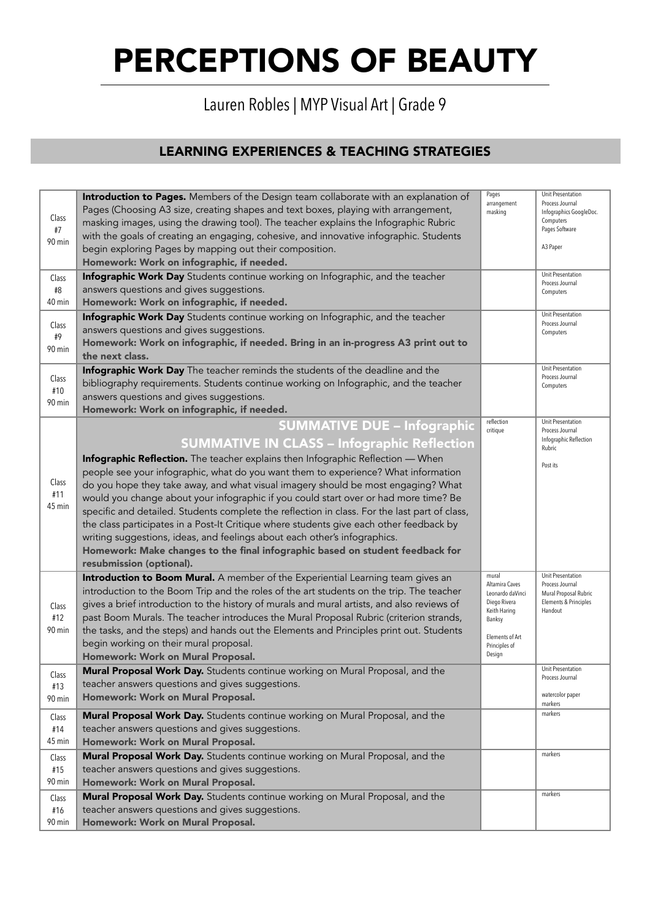# Lauren Robles | MYP Visual Art | Grade 9

## LEARNING EXPERIENCES & TEACHING STRATEGIES

| Class<br>#7<br>90 min  | Introduction to Pages. Members of the Design team collaborate with an explanation of<br>Pages (Choosing A3 size, creating shapes and text boxes, playing with arrangement,<br>masking images, using the drawing tool). The teacher explains the Infographic Rubric<br>with the goals of creating an engaging, cohesive, and innovative infographic. Students<br>begin exploring Pages by mapping out their composition.<br>Homework: Work on infographic, if needed.                                                                                                                                                                                                                                                                                                                                                                 | Pages<br>arrangement<br>masking                                                                                                     | Unit Presentation<br>Process Journal<br>Infographics GoogleDoc.<br>Computers<br>Pages Software<br>A3 Paper |
|------------------------|--------------------------------------------------------------------------------------------------------------------------------------------------------------------------------------------------------------------------------------------------------------------------------------------------------------------------------------------------------------------------------------------------------------------------------------------------------------------------------------------------------------------------------------------------------------------------------------------------------------------------------------------------------------------------------------------------------------------------------------------------------------------------------------------------------------------------------------|-------------------------------------------------------------------------------------------------------------------------------------|------------------------------------------------------------------------------------------------------------|
| Class<br>#8<br>40 min  | Infographic Work Day Students continue working on Infographic, and the teacher<br>answers questions and gives suggestions.<br>Homework: Work on infographic, if needed.                                                                                                                                                                                                                                                                                                                                                                                                                                                                                                                                                                                                                                                              |                                                                                                                                     | Unit Presentation<br>Process Journal<br>Computers                                                          |
| Class<br>#9<br>90 min  | Infographic Work Day Students continue working on Infographic, and the teacher<br>answers questions and gives suggestions.<br>Homework: Work on infographic, if needed. Bring in an in-progress A3 print out to<br>the next class.                                                                                                                                                                                                                                                                                                                                                                                                                                                                                                                                                                                                   |                                                                                                                                     | Unit Presentation<br>Process Journal<br>Computers                                                          |
| Class<br>#10<br>90 min | Infographic Work Day The teacher reminds the students of the deadline and the<br>bibliography requirements. Students continue working on Infographic, and the teacher<br>answers questions and gives suggestions.<br>Homework: Work on infographic, if needed.                                                                                                                                                                                                                                                                                                                                                                                                                                                                                                                                                                       |                                                                                                                                     | Unit Presentation<br>Process Journal<br>Computers                                                          |
| Class<br>#11<br>45 min | <b>SUMMATIVE DUE - Infographic</b><br><b>SUMMATIVE IN CLASS - Infographic Reflection</b><br>Infographic Reflection. The teacher explains then Infographic Reflection - When<br>people see your infographic, what do you want them to experience? What information<br>do you hope they take away, and what visual imagery should be most engaging? What<br>would you change about your infographic if you could start over or had more time? Be<br>specific and detailed. Students complete the reflection in class. For the last part of class,<br>the class participates in a Post-It Critique where students give each other feedback by<br>writing suggestions, ideas, and feelings about each other's infographics.<br>Homework: Make changes to the final infographic based on student feedback for<br>resubmission (optional). | reflection<br>critique                                                                                                              | Unit Presentation<br>Process Journal<br>Infographic Reflection<br>Rubric<br>Post its                       |
| Class<br>#12<br>90 min | Introduction to Boom Mural. A member of the Experiential Learning team gives an<br>introduction to the Boom Trip and the roles of the art students on the trip. The teacher<br>gives a brief introduction to the history of murals and mural artists, and also reviews of<br>past Boom Murals. The teacher introduces the Mural Proposal Rubric (criterion strands,<br>the tasks, and the steps) and hands out the Elements and Principles print out. Students<br>begin working on their mural proposal.<br>Homework: Work on Mural Proposal.                                                                                                                                                                                                                                                                                        | mural<br>Altamira Caves<br>Leonardo daVinci<br>Diego Rivera<br>Keith Haring<br>Banksy<br>Elements of Art<br>Principles of<br>Design | Unit Presentation<br>Process Journal<br>Mural Proposal Rubric<br>Elements & Principles<br>Handout          |
| Class<br>#13<br>90 min | Mural Proposal Work Day. Students continue working on Mural Proposal, and the<br>teacher answers questions and gives suggestions.<br>Homework: Work on Mural Proposal.                                                                                                                                                                                                                                                                                                                                                                                                                                                                                                                                                                                                                                                               |                                                                                                                                     | Unit Presentation<br>Process Journal<br>watercolor paper<br>markers                                        |
| Class<br>#14<br>45 min | Mural Proposal Work Day. Students continue working on Mural Proposal, and the<br>teacher answers questions and gives suggestions.<br>Homework: Work on Mural Proposal.                                                                                                                                                                                                                                                                                                                                                                                                                                                                                                                                                                                                                                                               |                                                                                                                                     | markers                                                                                                    |
| Class<br>#15<br>90 min | Mural Proposal Work Day. Students continue working on Mural Proposal, and the<br>teacher answers questions and gives suggestions.<br>Homework: Work on Mural Proposal.                                                                                                                                                                                                                                                                                                                                                                                                                                                                                                                                                                                                                                                               |                                                                                                                                     | markers                                                                                                    |
| Class<br>#16<br>90 min | Mural Proposal Work Day. Students continue working on Mural Proposal, and the<br>teacher answers questions and gives suggestions.<br>Homework: Work on Mural Proposal.                                                                                                                                                                                                                                                                                                                                                                                                                                                                                                                                                                                                                                                               |                                                                                                                                     | markers                                                                                                    |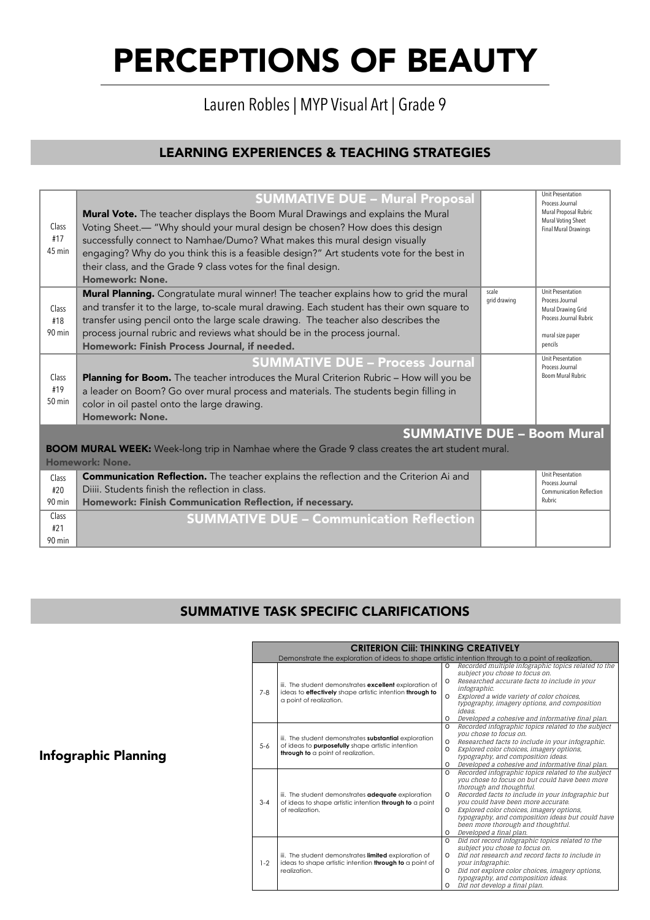## Lauren Robles | MYP Visual Art | Grade 9

## LEARNING EXPERIENCES & TEACHING STRATEGIES

| Class<br>#17<br>45 min                                                                                                     | <b>SUMMATIVE DUE - Mural Proposal</b><br>Mural Vote. The teacher displays the Boom Mural Drawings and explains the Mural<br>Voting Sheet.- "Why should your mural design be chosen? How does this design<br>successfully connect to Namhae/Dumo? What makes this mural design visually<br>engaging? Why do you think this is a feasible design?" Art students vote for the best in<br>their class, and the Grade 9 class votes for the final design.<br>Homework: None. |                       | <b>Unit Presentation</b><br>Process Journal<br>Mural Proposal Rubric<br>Mural Voting Sheet<br>Final Mural Drawings  |  |
|----------------------------------------------------------------------------------------------------------------------------|-------------------------------------------------------------------------------------------------------------------------------------------------------------------------------------------------------------------------------------------------------------------------------------------------------------------------------------------------------------------------------------------------------------------------------------------------------------------------|-----------------------|---------------------------------------------------------------------------------------------------------------------|--|
| Class<br>#18<br>90 min                                                                                                     | Mural Planning. Congratulate mural winner! The teacher explains how to grid the mural<br>and transfer it to the large, to-scale mural drawing. Each student has their own square to<br>transfer using pencil onto the large scale drawing. The teacher also describes the<br>process journal rubric and reviews what should be in the process journal.<br>Homework: Finish Process Journal, if needed.                                                                  | scale<br>grid drawing | Unit Presentation<br>Process Journal<br>Mural Drawing Grid<br>Process Journal Rubric<br>mural size paper<br>pencils |  |
| Class<br>#19<br>$50$ min                                                                                                   | <b>SUMMATIVE DUE - Process Journal</b><br>Planning for Boom. The teacher introduces the Mural Criterion Rubric - How will you be<br>a leader on Boom? Go over mural process and materials. The students begin filling in<br>color in oil pastel onto the large drawing.<br>Homework: None.                                                                                                                                                                              |                       | Unit Presentation<br>Process Journal<br>Boom Mural Rubric                                                           |  |
| <b>SUMMATIVE DUE - Boom Mural</b>                                                                                          |                                                                                                                                                                                                                                                                                                                                                                                                                                                                         |                       |                                                                                                                     |  |
| <b>BOOM MURAL WEEK:</b> Week-long trip in Namhae where the Grade 9 class creates the art student mural.<br>Homework: None. |                                                                                                                                                                                                                                                                                                                                                                                                                                                                         |                       |                                                                                                                     |  |
| Class<br>#20<br>90 min                                                                                                     | <b>Communication Reflection.</b> The teacher explains the reflection and the Criterion Ai and<br>Diiii. Students finish the reflection in class.<br>Homework: Finish Communication Reflection, if necessary.                                                                                                                                                                                                                                                            |                       | <b>Unit Presentation</b><br>Process Journal<br>Communication Reflection<br>Rubric                                   |  |
| Class<br>#21<br>90 min                                                                                                     | <b>SUMMATIVE DUE - Communication Reflection</b>                                                                                                                                                                                                                                                                                                                                                                                                                         |                       |                                                                                                                     |  |

#### SUMMATIVE TASK SPECIFIC CLARIFICATIONS FELIFIL LLI

2. Finalize typography.

5. Finalize composition.

|         | <b>CRITERION CIII: THINKING CREATIVELY</b>                                                                                                              |                                                                                                                                                                                                                                                                                                                                                                                                                                |  |  |  |  |  |
|---------|---------------------------------------------------------------------------------------------------------------------------------------------------------|--------------------------------------------------------------------------------------------------------------------------------------------------------------------------------------------------------------------------------------------------------------------------------------------------------------------------------------------------------------------------------------------------------------------------------|--|--|--|--|--|
|         | Demonstrate the exploration of ideas to shape artistic intention through to a point of realization.                                                     |                                                                                                                                                                                                                                                                                                                                                                                                                                |  |  |  |  |  |
| $7 - 8$ | iii. The student demonstrates excellent exploration of<br>ideas to effectively shape artistic intention through to<br>a point of realization.           | Recorded multiple infographic topics related to the<br>0<br>subject you chose to focus on.<br>Researched accurate facts to include in your<br>0<br>infographic.<br>Explored a wide variety of color choices,<br>$\Omega$<br>typography, imagery options, and composition<br>ideas.<br>Developed a cohesive and informative final plan.<br>0                                                                                    |  |  |  |  |  |
| $5 - 6$ | iii. The student demonstrates substantial exploration<br>of ideas to <b>purposefully</b> shape artistic intention<br>through to a point of realization. | Recorded infographic topics related to the subject<br>0<br>you chose to focus on.<br>Researched facts to include in your infographic.<br>0<br>Explored color choices, imagery options,<br>$\Omega$<br>typography, and composition ideas.<br>Developed a cohesive and informative final plan.<br>0                                                                                                                              |  |  |  |  |  |
| $3 - 4$ | iii. The student demonstrates adequate exploration<br>of ideas to shape artistic intention through to a point<br>of realization.                        | Recorded infographic topics related to the subject<br>$\Omega$<br>you chose to focus on but could have been more<br>thorough and thoughtful.<br>Recorded facts to include in your infographic but<br>0<br>you could have been more accurate.<br>Explored color choices, imagery options,<br>$\Omega$<br>typography, and composition ideas but could have<br>been more thorough and thoughtful.<br>Developed a final plan.<br>0 |  |  |  |  |  |
| $1-2$   | iii. The student demonstrates limited exploration of<br>ideas to shape artistic intention through to a point of<br>realization.                         | Did not record infographic topics related to the<br>$\Omega$<br>subject you chose to focus on.<br>Did not research and record facts to include in<br>$\Omega$<br>your infographic.<br>Did not explore color choices, imagery options,<br>0<br>typography, and composition ideas.<br>Did not develop a final plan.<br>0                                                                                                         |  |  |  |  |  |

## Infographic Planning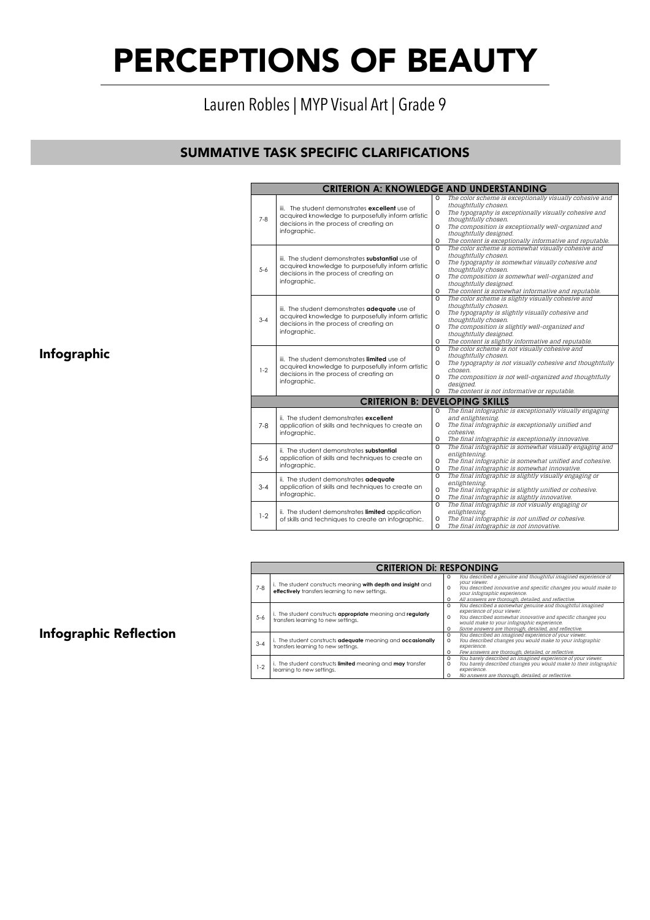# Lauren Robles | MYP Visual Art | Grade 9

# SUMMATIVE TASK SPECIFIC CLARIFICATIONS

Infographic

|         | <b>CRITERION A: KNOWLEDGE AND UNDERSTANDING</b>                                                                                                                |                    |                                                                                                         |
|---------|----------------------------------------------------------------------------------------------------------------------------------------------------------------|--------------------|---------------------------------------------------------------------------------------------------------|
|         |                                                                                                                                                                | $\Omega$           | The color scheme is exceptionally visually cohesive and                                                 |
|         | iii. The student demonstrates excellent use of                                                                                                                 |                    | thoughtfully chosen.                                                                                    |
|         | acquired knowledge to purposefully inform artistic                                                                                                             | $\Omega$           | The typography is exceptionally visually cohesive and                                                   |
| $7 - 8$ | decisions in the process of creating an                                                                                                                        |                    | thoughtfully chosen.                                                                                    |
|         | infographic.                                                                                                                                                   | $\Omega$           | The composition is exceptionally well-organized and                                                     |
|         |                                                                                                                                                                |                    | thoughtfully designed.                                                                                  |
|         |                                                                                                                                                                | 0                  | The content is exceptionally informative and reputable.                                                 |
|         |                                                                                                                                                                | $\Omega$           | The color scheme is somewhat visually cohesive and                                                      |
|         | iii. The student demonstrates substantial use of                                                                                                               |                    | thoughtfully chosen.                                                                                    |
|         | acquired knowledge to purposefully inform artistic                                                                                                             | $\Omega$           | The typography is somewhat visually cohesive and                                                        |
| $5 - 6$ | decisions in the process of creating an                                                                                                                        |                    | thoughtfully chosen.                                                                                    |
|         | infographic.                                                                                                                                                   | $\Omega$           | The composition is somewhat well-organized and                                                          |
|         |                                                                                                                                                                | $\Omega$           | thoughtfully designed.                                                                                  |
|         |                                                                                                                                                                | $\Omega$           | The content is somewhat informative and reputable.<br>The color scheme is slighty visually cohesive and |
|         |                                                                                                                                                                |                    | thoughtfully chosen.                                                                                    |
|         | iii. The student demonstrates adequate use of<br>acquired knowledge to purposefully inform artistic<br>decisions in the process of creating an<br>infographic. | 0                  | The typography is slightly visually cohesive and                                                        |
| $3 - 4$ |                                                                                                                                                                |                    | thoughtfully chosen.                                                                                    |
|         |                                                                                                                                                                | 0                  | The composition is slightly well-organized and                                                          |
|         |                                                                                                                                                                |                    | thoughtfully designed.                                                                                  |
|         |                                                                                                                                                                | $\Omega$           | The content is slightly informative and reputable.                                                      |
|         |                                                                                                                                                                | $\Omega$           | The color scheme is not visually cohesive and                                                           |
|         |                                                                                                                                                                |                    | thoughtfully chosen.                                                                                    |
|         | iii. The student demonstrates <b>limited</b> use of                                                                                                            | 0                  | The typography is not visually cohesive and thoughtfully                                                |
| $1 - 2$ | acquired knowledge to purposefully inform artistic                                                                                                             |                    | chosen.                                                                                                 |
|         | decisions in the process of creating an                                                                                                                        | $\Omega$           | The composition is not well-organized and thoughtfully                                                  |
|         | infographic.                                                                                                                                                   |                    | designed.                                                                                               |
|         |                                                                                                                                                                | 0                  | The content is not informative or reputable.                                                            |
|         | <b>CRITERION B: DEVELOPING SKILLS</b>                                                                                                                          |                    |                                                                                                         |
|         |                                                                                                                                                                | $\Omega$           | The final infographic is exceptionally visually engaging                                                |
|         | ii. The student demonstrates excellent                                                                                                                         |                    | and enlightening.                                                                                       |
| $7 - 8$ | application of skills and techniques to create an                                                                                                              | $\Omega$           | The final infographic is exceptionally unified and                                                      |
|         | infographic.                                                                                                                                                   |                    | cohesive.                                                                                               |
|         |                                                                                                                                                                | O                  | The final infographic is exceptionally innovative.                                                      |
|         | ii. The student demonstrates substantial                                                                                                                       | O                  | The final infographic is somewhat visually engaging and                                                 |
| $5 - 6$ | application of skills and techniques to create an                                                                                                              |                    | enlightening.                                                                                           |
|         | infographic.                                                                                                                                                   | 0                  | The final infographic is somewhat unified and cohesive.                                                 |
|         |                                                                                                                                                                | $\circ$            | The final infographic is somewhat innovative.                                                           |
|         | ii. The student demonstrates adequate                                                                                                                          | $\Omega$           | The final infographic is slightly visually engaging or                                                  |
| $3 - 4$ | application of skills and techniques to create an<br>infographic.                                                                                              |                    | enlightening.                                                                                           |
|         |                                                                                                                                                                | $\Omega$           | The final infographic is slightly unified or cohesive.                                                  |
|         |                                                                                                                                                                | O<br>$\circ$       | The final infographic is slightly innovative.                                                           |
|         |                                                                                                                                                                |                    | The final infographic is not visually engaging or                                                       |
|         |                                                                                                                                                                |                    |                                                                                                         |
|         | ii. The student demonstrates limited application                                                                                                               |                    | enlightening.                                                                                           |
| $1-2$   | of skills and techniques to create an infographic.                                                                                                             | $\circ$<br>$\circ$ | The final infographic is not unified or cohesive.<br>The final infographic is not innovative.           |

|         | <b>CRITERION DI: RESPONDING</b>                                                                                 |                                                                                                                                                                                                                                                                                              |  |  |  |  |
|---------|-----------------------------------------------------------------------------------------------------------------|----------------------------------------------------------------------------------------------------------------------------------------------------------------------------------------------------------------------------------------------------------------------------------------------|--|--|--|--|
| $7 - 8$ | i. The student constructs meaning with depth and insight and<br>effectively transfers learning to new settings. | You described a genuine and thoughtful imagined experience of<br>$\Omega$<br>vour viewer.<br>You described innovative and specific changes you would make to<br>$\Omega$<br>your infographic experience.<br>All answers are thorough, detailed, and reflective.<br>$\circ$                   |  |  |  |  |
| $5 - 6$ | i. The student constructs appropriate meaning and regularly<br>transfers learning to new settings.              | You described a somewhat genuine and thoughtful imagined<br>$\circ$<br>experience of your viewer.<br>You described somewhat innovative and specific changes you<br>$\Omega$<br>would make to your infographic experience.<br>Some answers are thorough, detailed, and reflective.<br>$\circ$ |  |  |  |  |
| $3 - 4$ | i. The student constructs adequate meaning and occasionally<br>transfers learning to new settings.              | You described an imagined experience of your viewer.<br>$\circ$<br>You described changes you would make to your infographic<br>$\Omega$<br>experience.<br>Few answers are thorough, detailed, or reflective.<br>$\circ$                                                                      |  |  |  |  |
| $-2$    | i. The student constructs limited meaning and may transfer<br>learning to new settings.                         | You barely described an imagined experience of your viewer.<br>$\Omega$<br>You barely described changes you would make to their infographic<br>$\Omega$<br>experience.<br>No answers are thorough, detailed, or reflective.<br>o                                                             |  |  |  |  |

## Infographic Reflection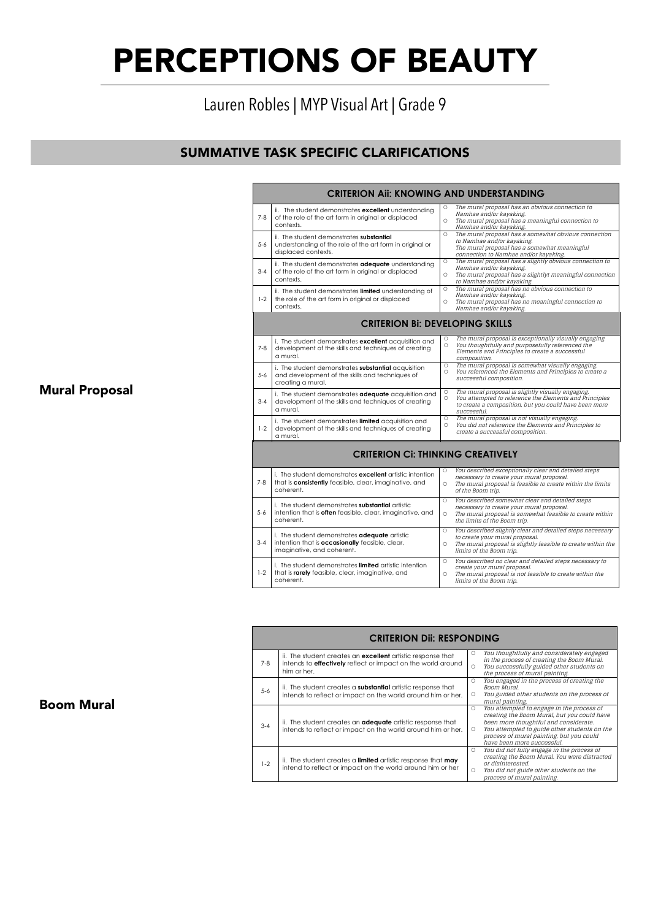### Lauren Robles | MYP Visual Art | Grade 9  $\frac{1}{1+1}$  Crode 0  $\frac{1}{2}$  Myan Arc  $\frac{1}{2}$  Grade ?

# **SUMMATIVE TASK SPECIFIC CLARIFICATIONS** Mural Proposal

|         | <b>CRITERION AII: KNOWING AND UNDERSTANDING</b>                                                                                 |                       |                                                                                                                                                                                         |
|---------|---------------------------------------------------------------------------------------------------------------------------------|-----------------------|-----------------------------------------------------------------------------------------------------------------------------------------------------------------------------------------|
| $7 - 8$ | ii. The student demonstrates excellent understanding<br>of the role of the art form in original or displaced<br>contexts.       | $\circ$<br>$\circ$    | The mural proposal has an obvious connection to<br>Namhae and/or kayaking.<br>The mural proposal has a meaningful connection to<br>Namhae and/or kayaking.                              |
| $5 - 6$ | ii. The student demonstrates substantial<br>understanding of the role of the art form in original or<br>displaced contexts.     | $\circ$               | The mural proposal has a somewhat obvious connection<br>to Namhae and/or kayaking.<br>The mural proposal has a somewhat meaningful<br>connection to Namhae and/or kayaking.             |
| $3 - 4$ | ii. The student demonstrates adequate understanding<br>of the role of the art form in original or displaced<br>contexts.        | $\circ$<br>$\circ$    | The mural proposal has a slightly obvious connection to<br>Namhae and/or kayaking.<br>The mural proposal has a slightlyt meaningful connection<br>to Namhae and/or kayaking.            |
| $1-2$   | ii. The student demonstrates limited understanding of<br>the role of the art form in original or displaced<br>contexts.         | $\circ$<br>$\circ$    | The mural proposal has no obvious connection to<br>Namhae and/or kayaking.<br>The mural proposal has no meaningful connection to<br>Namhae and/or kayaking.                             |
|         | <b>CRITERION BI: DEVELOPING SKILLS</b>                                                                                          |                       |                                                                                                                                                                                         |
| $7-8$   | i. The student demonstrates excellent acquisition and<br>development of the skills and techniques of creating<br>a mural.       | О<br>$\circ$          | The mural proposal is exceptionally visually engaging.<br>You thoughtfully and purposefully referenced the<br>Elements and Principles to create a successful<br>composition.            |
| $5 - 6$ | i. The student demonstrates substantial acquisition<br>and development of the skills and techniques of<br>creating a mural.     | $\circ$<br>$\circ$    | The mural proposal is somewhat visually engaging.<br>You referenced the Elements and Principles to create a<br>successful composition.                                                  |
| $3 - 4$ | i. The student demonstrates adequate acquisition and<br>development of the skills and techniques of creating<br>a mural.        | $\circ$<br>$\circ$    | The mural proposal is slightly visually engaging.<br>You attempted to reference the Elements and Principles<br>to create a composition, but you could have been more<br>successful.     |
| $1 - 2$ | i. The student demonstrates limited acquisition and<br>development of the skills and techniques of creating<br>a mural.         | $\circ$<br>$\circ$    | The mural proposal is not visually engaging.<br>You did not reference the Elements and Principles to<br>create a successful composition.                                                |
|         | <b>CRITERION Ci: THINKING CREATIVELY</b>                                                                                        |                       |                                                                                                                                                                                         |
| $7 - 8$ | i. The student demonstrates excellent artistic intention<br>that is consistently feasible, clear, imaginative, and<br>coherent. | $\circ$<br>$\circ$    | You described exceptionally clear and detailed steps<br>necessary to create your mural proposal.<br>The mural proposal is feasible to create within the limits<br>of the Boom trip.     |
| $5 - 6$ | i. The student demonstrates substantial artistic<br>intention that is often feasible, clear, imaginative, and<br>coherent.      | $\circ$<br>$\circ$    | You described somewhat clear and detailed steps<br>necessary to create your mural proposal.<br>The mural proposal is somewhat feasible to create within<br>the limits of the Boom trip. |
| $3 - 4$ | i. The student demonstrates adequate artistic<br>intention that is occasionally feasible, clear,<br>imaginative, and coherent.  | $\circ$<br>$\circ$    | You described slightly clear and detailed steps necessary<br>to create your mural proposal.<br>The mural proposal is slightly feasible to create within the<br>limits of the Boom trip. |
| $1 - 2$ | i. The student demonstrates limited artistic intention<br>that is rarely feasible, clear, imaginative, and<br>coherent.         | $\circ$<br>$\bigcirc$ | You described no clear and detailed steps necessary to<br>create your mural proposal.<br>The mural proposal is not feasible to create within the<br>limits of the Boom trip.            |

O The mural proposal has an obvious connection to

|         | <b>CRITERION DII: RESPONDING</b>                                                                                                                         |                    |                                                                                                                                                                                                                                                             |  |  |  |
|---------|----------------------------------------------------------------------------------------------------------------------------------------------------------|--------------------|-------------------------------------------------------------------------------------------------------------------------------------------------------------------------------------------------------------------------------------------------------------|--|--|--|
| $7 - 8$ | ii. The student creates an <b>excellent</b> artistic response that<br>intends to <b>effectively</b> reflect or impact on the world around<br>him or her. | $\circ$<br>$\circ$ | You thoughtfully and considerately engaged<br>in the process of creating the Boom Mural.<br>You successfully guided other students on<br>the process of mural painting.                                                                                     |  |  |  |
| $5 - 6$ | ii. The student creates a substantial artistic response that<br>intends to reflect or impact on the world around him or her.                             | $\circ$<br>$\circ$ | You engaged in the process of creating the<br>Boom Mural.<br>You guided other students on the process of<br>mural painting.                                                                                                                                 |  |  |  |
| $3 - 4$ | ii. The student creates an <b>adequate</b> artistic response that<br>intends to reflect or impact on the world around him or her.                        | $\circ$<br>$\circ$ | You attempted to engage in the process of<br>creating the Boom Mural, but you could have<br>been more thoughtful and considerate.<br>You attempted to guide other students on the<br>process of mural painting, but you could<br>have been more successful. |  |  |  |
| $1-2$   | ii. The student creates a limited artistic response that may<br>intend to reflect or impact on the world around him or her                               | $\circ$<br>$\circ$ | You did not fully engage in the process of<br>creating the Boom Mural. You were distracted<br>or disinterested.<br>You did not guide other students on the<br>process of mural painting.                                                                    |  |  |  |

i. The student demonstrates **limited** artistic intention

### Boom Mural